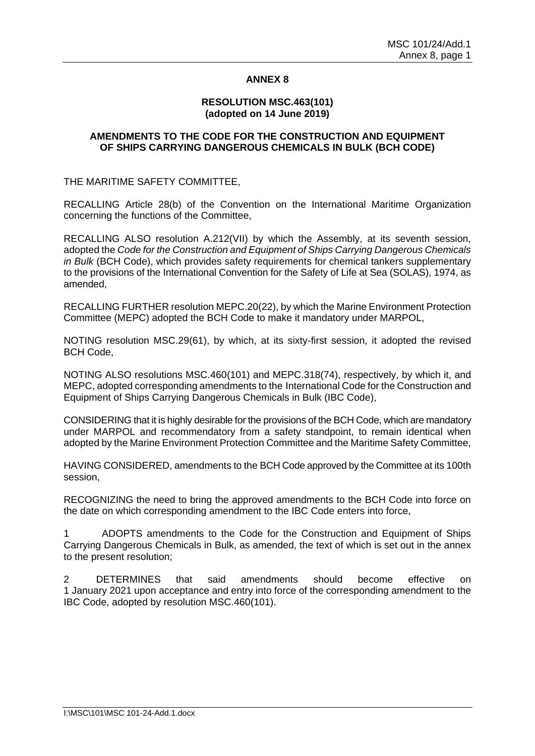# **ANNEX 8**

### **RESOLUTION MSC.463(101) (adopted on 14 June 2019)**

#### **AMENDMENTS TO THE CODE FOR THE CONSTRUCTION AND EQUIPMENT OF SHIPS CARRYING DANGEROUS CHEMICALS IN BULK (BCH CODE)**

THE MARITIME SAFETY COMMITTEE,

RECALLING Article 28(b) of the Convention on the International Maritime Organization concerning the functions of the Committee,

RECALLING ALSO resolution A.212(VII) by which the Assembly, at its seventh session, adopted the *Code for the Construction and Equipment of Ships Carrying Dangerous Chemicals in Bulk* (BCH Code), which provides safety requirements for chemical tankers supplementary to the provisions of the International Convention for the Safety of Life at Sea (SOLAS), 1974, as amended,

RECALLING FURTHER resolution MEPC.20(22), by which the Marine Environment Protection Committee (MEPC) adopted the BCH Code to make it mandatory under MARPOL,

NOTING resolution MSC.29(61), by which, at its sixty-first session, it adopted the revised BCH Code,

NOTING ALSO resolutions MSC.460(101) and MEPC.318(74), respectively, by which it, and MEPC, adopted corresponding amendments to the International Code for the Construction and Equipment of Ships Carrying Dangerous Chemicals in Bulk (IBC Code),

CONSIDERING that it is highly desirable for the provisions of the BCH Code, which are mandatory under MARPOL and recommendatory from a safety standpoint, to remain identical when adopted by the Marine Environment Protection Committee and the Maritime Safety Committee,

HAVING CONSIDERED, amendments to the BCH Code approved by the Committee at its 100th session,

RECOGNIZING the need to bring the approved amendments to the BCH Code into force on the date on which corresponding amendment to the IBC Code enters into force,

1 ADOPTS amendments to the Code for the Construction and Equipment of Ships Carrying Dangerous Chemicals in Bulk, as amended, the text of which is set out in the annex to the present resolution;

2 DETERMINES that said amendments should become effective on 1 January 2021 upon acceptance and entry into force of the corresponding amendment to the IBC Code, adopted by resolution MSC.460(101).